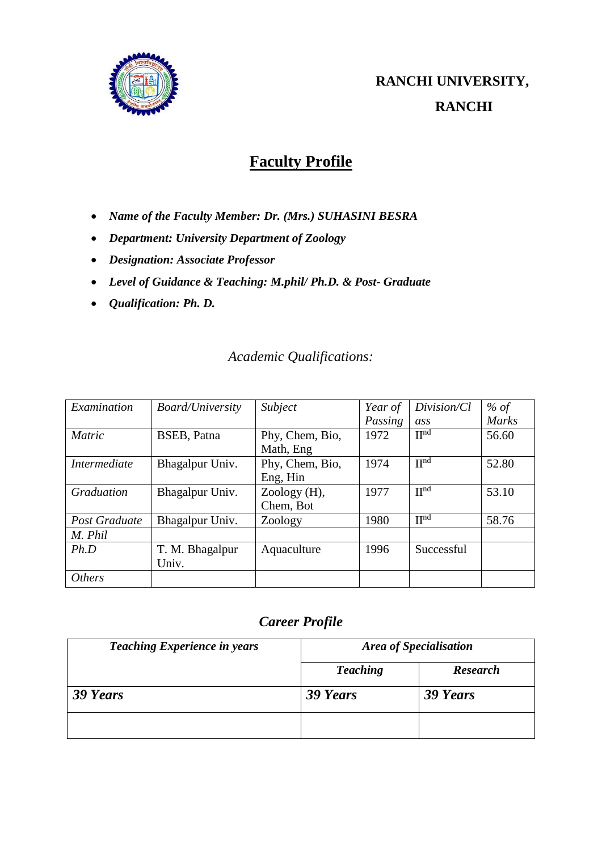

# **Faculty Profile**

- *Name of the Faculty Member: Dr. (Mrs.) SUHASINI BESRA*
- *Department: University Department of Zoology*
- *Designation: Associate Professor*
- *Level of Guidance & Teaching: M.phil/ Ph.D. & Post- Graduate*
- *Qualification: Ph. D.*

## *Academic Qualifications:*

| Examination         | <b>Board/University</b> | Subject         | Year of | Division/Cl       | % of         |
|---------------------|-------------------------|-----------------|---------|-------------------|--------------|
|                     |                         |                 | Passing | ass               | <b>Marks</b> |
| <b>Matric</b>       | BSEB, Patna             | Phy, Chem, Bio, | 1972    | $\Pi^{\text{nd}}$ | 56.60        |
|                     |                         | Math, Eng       |         |                   |              |
| <i>Intermediate</i> | Bhagalpur Univ.         | Phy, Chem, Bio, | 1974    | $\Pi^{\text{nd}}$ | 52.80        |
|                     |                         | Eng, Hin        |         |                   |              |
| <b>Graduation</b>   | Bhagalpur Univ.         | Zoology (H),    | 1977    | $\Pi^{\text{nd}}$ | 53.10        |
|                     |                         | Chem, Bot       |         |                   |              |
| Post Graduate       | Bhagalpur Univ.         | Zoology         | 1980    | II <sub>uq</sub>  | 58.76        |
| M. Phil             |                         |                 |         |                   |              |
| Ph.D                | T. M. Bhagalpur         | Aquaculture     | 1996    | Successful        |              |
|                     | Univ.                   |                 |         |                   |              |
| <i>Others</i>       |                         |                 |         |                   |              |

## *Career Profile*

| <b>Teaching Experience in years</b> | <b>Area of Specialisation</b> |                 |
|-------------------------------------|-------------------------------|-----------------|
|                                     | <b>Teaching</b>               | <b>Research</b> |
| 39 Years                            | 39 Years                      | 39 Years        |
|                                     |                               |                 |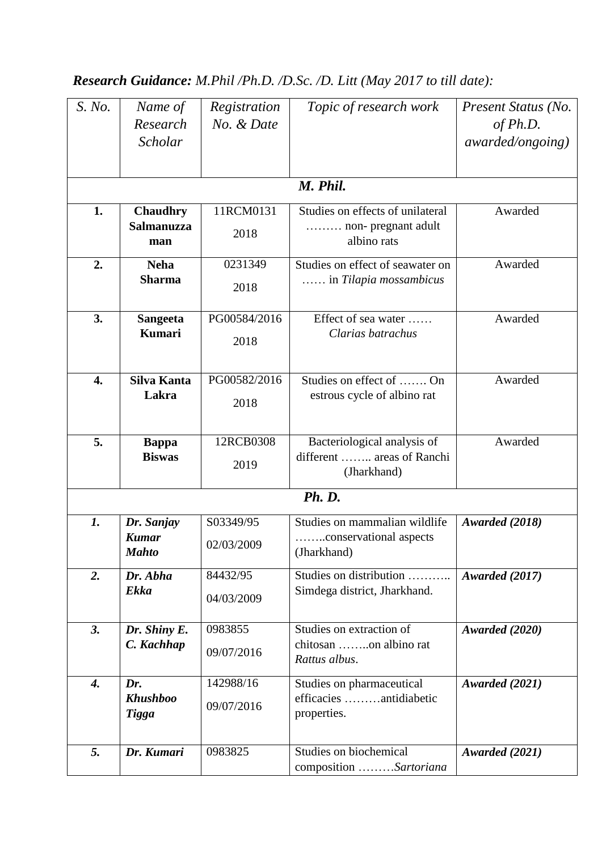# *Research Guidance: M.Phil /Ph.D. /D.Sc. /D. Litt (May 2017 to till date):*

| S. No.             | Name of<br>Research<br><b>Scholar</b>      | Registration<br>No. & Date | Topic of research work                                                   | Present Status (No.<br>of $Ph.D.$<br><i>awarded/ongoing</i> ) |
|--------------------|--------------------------------------------|----------------------------|--------------------------------------------------------------------------|---------------------------------------------------------------|
|                    |                                            |                            | M. Phil.                                                                 |                                                               |
| 1.                 | <b>Chaudhry</b><br>Salmanuzza<br>man       | 11RCM0131<br>2018          | Studies on effects of unilateral<br>non- pregnant adult<br>albino rats   | Awarded                                                       |
| 2.                 | <b>Neha</b><br><b>Sharma</b>               | 0231349<br>2018            | Studies on effect of seawater on<br>in Tilapia mossambicus               | Awarded                                                       |
| 3.                 | <b>Sangeeta</b><br><b>Kumari</b>           | PG00584/2016<br>2018       | Effect of sea water<br>Clarias batrachus                                 | Awarded                                                       |
| 4.                 | Silva Kanta<br>Lakra                       | PG00582/2016<br>2018       | Studies on effect of  On<br>estrous cycle of albino rat                  | Awarded                                                       |
| 5.                 | <b>Bappa</b><br><b>Biswas</b>              | 12RCB0308<br>2019          | Bacteriological analysis of<br>different  areas of Ranchi<br>(Jharkhand) | Awarded                                                       |
|                    |                                            |                            | <b>Ph. D.</b>                                                            |                                                               |
| 1.                 | Dr. Sanjay<br><b>Kumar</b><br><b>Mahto</b> | S03349/95<br>02/03/2009    | Studies on mammalian wildlife<br>conservational aspects<br>(Jharkhand)   | Awarded (2018)                                                |
| 2.                 | Dr. Abha<br><b>Ekka</b>                    | 84432/95<br>04/03/2009     | Studies on distribution<br>Simdega district, Jharkhand.                  | Awarded (2017)                                                |
| 3.                 | Dr. Shiny E.<br>C. Kachhap                 | 0983855<br>09/07/2016      | Studies on extraction of<br>chitosan on albino rat<br>Rattus albus.      | Awarded (2020)                                                |
| $\boldsymbol{4}$ . | Dr.<br><b>Khushboo</b><br><b>Tigga</b>     | 142988/16<br>09/07/2016    | Studies on pharmaceutical<br>efficacies antidiabetic<br>properties.      | Awarded (2021)                                                |
| 5.                 | Dr. Kumari                                 | 0983825                    | Studies on biochemical<br>composition Sartoriana                         | Awarded (2021)                                                |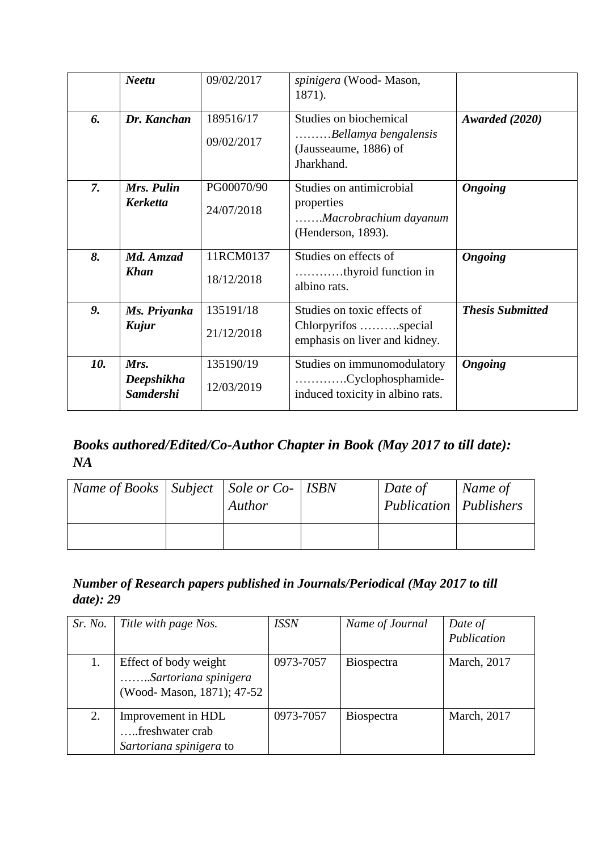|     | <b>Neetu</b>                           | 09/02/2017               | spinigera (Wood-Mason,<br>1871).                                                      |                         |
|-----|----------------------------------------|--------------------------|---------------------------------------------------------------------------------------|-------------------------|
| 6.  | Dr. Kanchan                            | 189516/17<br>09/02/2017  | Studies on biochemical<br>Bellamya bengalensis<br>(Jausseaume, 1886) of<br>Jharkhand. | Awarded (2020)          |
| 7.  | Mrs. Pulin<br><b>Kerketta</b>          | PG00070/90<br>24/07/2018 | Studies on antimicrobial<br>properties<br>Macrobrachium dayanum<br>(Henderson, 1893). | <b>Ongoing</b>          |
| 8.  | Md. Amzad<br><b>Khan</b>               | 11RCM0137<br>18/12/2018  | Studies on effects of<br>thyroid function in<br>albino rats.                          | <b>Ongoing</b>          |
| 9.  | Ms. Priyanka<br>Kujur                  | 135191/18<br>21/12/2018  | Studies on toxic effects of<br>Chlorpyrifos special<br>emphasis on liver and kidney.  | <b>Thesis Submitted</b> |
| 10. | Mrs.<br>Deepshikha<br><b>Samdershi</b> | 135190/19<br>12/03/2019  | Studies on immunomodulatory<br>Cyclophosphamide-<br>induced toxicity in albino rats.  | <b>Ongoing</b>          |

# *Books authored/Edited/Co-Author Chapter in Book (May 2017 to till date): NA*

| Name of Books   Subject   Sole or $Co-$   ISBN | Author | Date of<br>Publication   Publishers | Name of |
|------------------------------------------------|--------|-------------------------------------|---------|
|                                                |        |                                     |         |

## *Number of Research papers published in Journals/Periodical (May 2017 to till date): 29*

| Sr. No. | Title with page Nos.                                                       | <b>ISSN</b> | Name of Journal   | Date of<br>Publication |
|---------|----------------------------------------------------------------------------|-------------|-------------------|------------------------|
|         | Effect of body weight<br>Sartoriana spinigera<br>(Wood-Mason, 1871); 47-52 | 0973-7057   | <b>Biospectra</b> | March, 2017            |
| 2.      | Improvement in HDL<br>freshwater crab<br>Sartoriana spinigera to           | 0973-7057   | <b>Biospectra</b> | March, 2017            |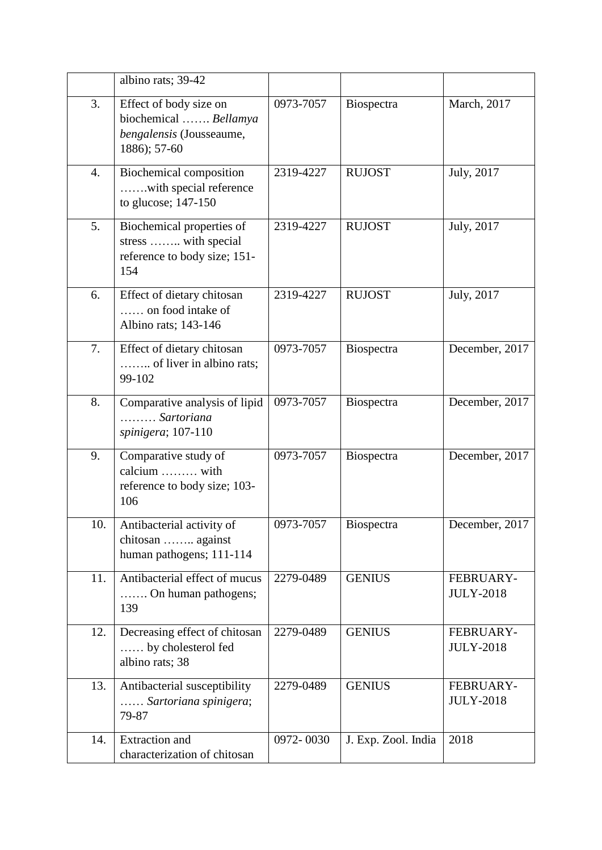|     | albino rats; 39-42                                                                          |           |                     |                               |
|-----|---------------------------------------------------------------------------------------------|-----------|---------------------|-------------------------------|
| 3.  | Effect of body size on<br>biochemical  Bellamya<br>bengalensis (Jousseaume,<br>1886); 57-60 | 0973-7057 | Biospectra          | March, 2017                   |
| 4.  | <b>Biochemical composition</b><br>with special reference<br>to glucose; 147-150             | 2319-4227 | <b>RUJOST</b>       | July, 2017                    |
| 5.  | Biochemical properties of<br>stress  with special<br>reference to body size; 151-<br>154    | 2319-4227 | <b>RUJOST</b>       | July, 2017                    |
| 6.  | Effect of dietary chitosan<br>on food intake of<br>Albino rats; 143-146                     | 2319-4227 | <b>RUJOST</b>       | July, 2017                    |
| 7.  | Effect of dietary chitosan<br>of liver in albino rats;<br>99-102                            | 0973-7057 | Biospectra          | December, 2017                |
| 8.  | Comparative analysis of lipid<br>Sartoriana<br>spinigera; 107-110                           | 0973-7057 | Biospectra          | December, 2017                |
| 9.  | Comparative study of<br>calcium  with<br>reference to body size; 103-<br>106                | 0973-7057 | Biospectra          | December, 2017                |
| 10. | Antibacterial activity of<br>chitosan  against<br>human pathogens; 111-114                  | 0973-7057 | Biospectra          | December, 2017                |
| 11. | Antibacterial effect of mucus<br>On human pathogens;<br>139                                 | 2279-0489 | <b>GENIUS</b>       | FEBRUARY-<br><b>JULY-2018</b> |
| 12. | Decreasing effect of chitosan<br>by cholesterol fed<br>albino rats; 38                      | 2279-0489 | <b>GENIUS</b>       | FEBRUARY-<br><b>JULY-2018</b> |
| 13. | Antibacterial susceptibility<br>Sartoriana spinigera;<br>79-87                              | 2279-0489 | <b>GENIUS</b>       | FEBRUARY-<br><b>JULY-2018</b> |
| 14. | <b>Extraction</b> and<br>characterization of chitosan                                       | 0972-0030 | J. Exp. Zool. India | 2018                          |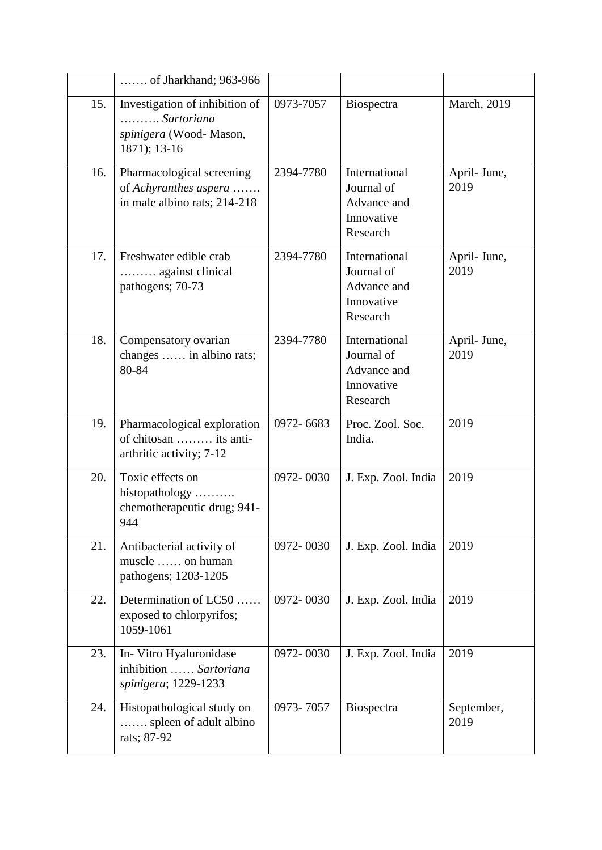|     | of Jharkhand; 963-966                                                                  |           |                                                                      |                      |
|-----|----------------------------------------------------------------------------------------|-----------|----------------------------------------------------------------------|----------------------|
| 15. | Investigation of inhibition of<br>Sartoriana<br>spinigera (Wood-Mason,<br>1871); 13-16 | 0973-7057 | Biospectra                                                           | March, 2019          |
| 16. | Pharmacological screening<br>of Achyranthes aspera<br>in male albino rats; 214-218     | 2394-7780 | International<br>Journal of<br>Advance and<br>Innovative<br>Research | April- June,<br>2019 |
| 17. | Freshwater edible crab<br>against clinical<br>pathogens; 70-73                         | 2394-7780 | International<br>Journal of<br>Advance and<br>Innovative<br>Research | April- June,<br>2019 |
| 18. | Compensatory ovarian<br>changes  in albino rats;<br>80-84                              | 2394-7780 | International<br>Journal of<br>Advance and<br>Innovative<br>Research | April- June,<br>2019 |
| 19. | Pharmacological exploration<br>of chitosan  its anti-<br>arthritic activity; 7-12      | 0972-6683 | Proc. Zool. Soc.<br>India.                                           | 2019                 |
| 20. | Toxic effects on<br>histopathology<br>chemotherapeutic drug; 941-<br>944               | 0972-0030 | J. Exp. Zool. India                                                  | 2019                 |
| 21. | Antibacterial activity of<br>muscle  on human<br>pathogens; 1203-1205                  | 0972-0030 | J. Exp. Zool. India                                                  | 2019                 |
| 22. | Determination of LC50<br>exposed to chlorpyrifos;<br>1059-1061                         | 0972-0030 | J. Exp. Zool. India                                                  | 2019                 |
| 23. | In-Vitro Hyaluronidase<br>inhibition  Sartoriana<br>spinigera; 1229-1233               | 0972-0030 | J. Exp. Zool. India                                                  | 2019                 |
| 24. | Histopathological study on<br>spleen of adult albino<br>rats; 87-92                    | 0973-7057 | Biospectra                                                           | September,<br>2019   |